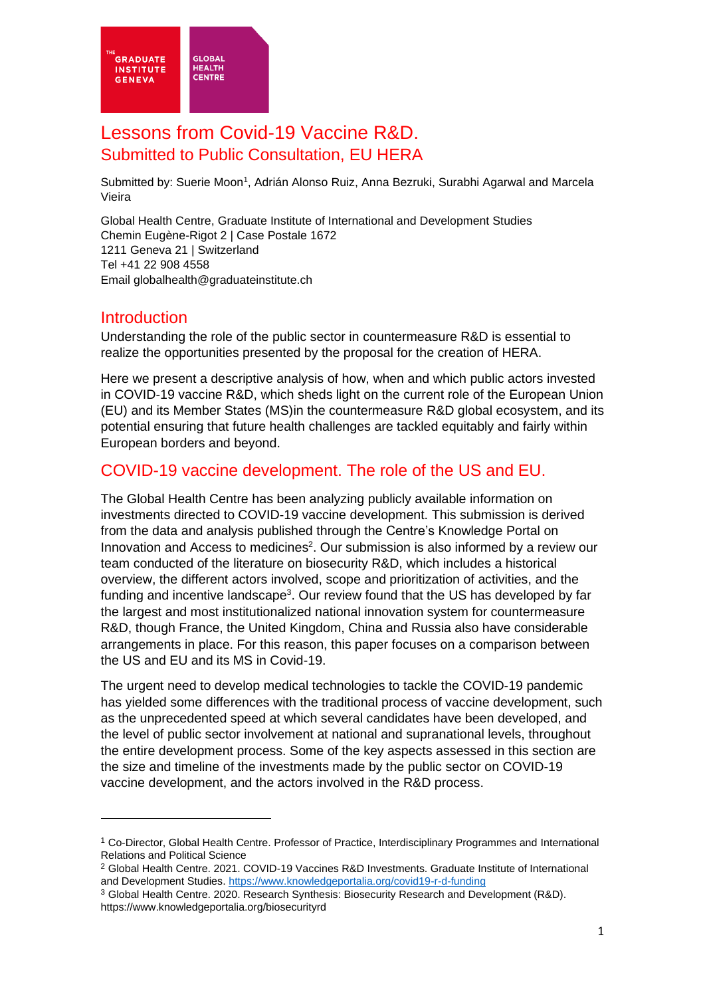

# Lessons from Covid-19 Vaccine R&D. Submitted to Public Consultation, EU HERA

Submitted by: Suerie Moon<sup>1</sup>, Adrián Alonso Ruiz, Anna Bezruki, Surabhi Agarwal and Marcela Vieira

Global Health Centre, Graduate Institute of International and Development Studies Chemin Eugène-Rigot 2 | Case Postale 1672 1211 Geneva 21 | Switzerland Tel +41 22 908 4558 Email globalhealth@graduateinstitute.ch

#### **Introduction**

Understanding the role of the public sector in countermeasure R&D is essential to realize the opportunities presented by the proposal for the creation of HERA.

Here we present a descriptive analysis of how, when and which public actors invested in COVID-19 vaccine R&D, which sheds light on the current role of the European Union (EU) and its Member States (MS)in the countermeasure R&D global ecosystem, and its potential ensuring that future health challenges are tackled equitably and fairly within European borders and beyond.

### COVID-19 vaccine development. The role of the US and EU.

The Global Health Centre has been analyzing publicly available information on investments directed to COVID-19 vaccine development. This submission is derived from the data and analysis published through the Centre's Knowledge Portal on Innovation and Access to medicines<sup>2</sup>. Our submission is also informed by a review our team conducted of the literature on biosecurity R&D, which includes a historical overview, the different actors involved, scope and prioritization of activities, and the funding and incentive landscape<sup>3</sup>. Our review found that the US has developed by far the largest and most institutionalized national innovation system for countermeasure R&D, though France, the United Kingdom, China and Russia also have considerable arrangements in place. For this reason, this paper focuses on a comparison between the US and EU and its MS in Covid-19.

The urgent need to develop medical technologies to tackle the COVID-19 pandemic has yielded some differences with the traditional process of vaccine development, such as the unprecedented speed at which several candidates have been developed, and the level of public sector involvement at national and supranational levels, throughout the entire development process. Some of the key aspects assessed in this section are the size and timeline of the investments made by the public sector on COVID-19 vaccine development, and the actors involved in the R&D process.

<sup>1</sup> Co-Director, Global Health Centre. Professor of Practice, Interdisciplinary Programmes and International Relations and Political Science

<sup>2</sup> Global Health Centre. 2021. COVID-19 Vaccines R&D Investments. Graduate Institute of International and Development Studies.<https://www.knowledgeportalia.org/covid19-r-d-funding>

<sup>3</sup> Global Health Centre. 2020. Research Synthesis: Biosecurity Research and Development (R&D). https://www.knowledgeportalia.org/biosecurityrd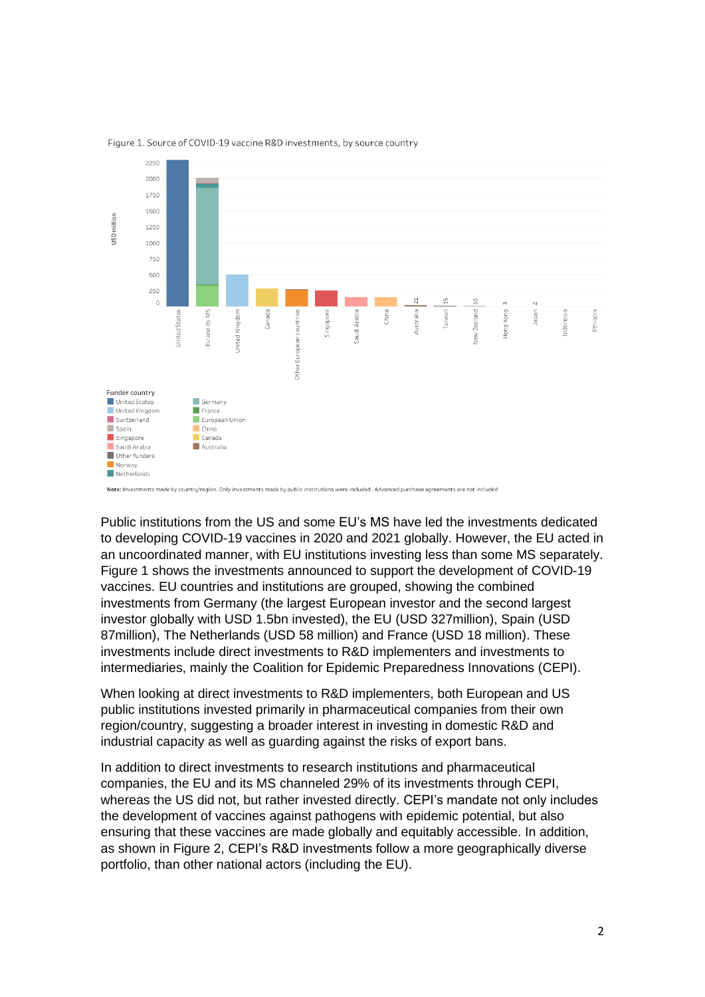

Figure 1. Source of COVID-19 vaccine R&D investments, by source country

Public institutions from the US and some EU's MS have led the investments dedicated to developing COVID-19 vaccines in 2020 and 2021 globally. However, the EU acted in an uncoordinated manner, with EU institutions investing less than some MS separately. Figure 1 shows the investments announced to support the development of COVID-19 vaccines. EU countries and institutions are grouped, showing the combined investments from Germany (the largest European investor and the second largest investor globally with USD 1.5bn invested), the EU (USD 327million), Spain (USD 87million), The Netherlands (USD 58 million) and France (USD 18 million). These investments include direct investments to R&D implementers and investments to intermediaries, mainly the Coalition for Epidemic Preparedness Innovations (CEPI).

When looking at direct investments to R&D implementers, both European and US public institutions invested primarily in pharmaceutical companies from their own region/country, suggesting a broader interest in investing in domestic R&D and industrial capacity as well as guarding against the risks of export bans.

In addition to direct investments to research institutions and pharmaceutical companies, the EU and its MS channeled 29% of its investments through CEPI, whereas the US did not, but rather invested directly. CEPI's mandate not only includes the development of vaccines against pathogens with epidemic potential, but also ensuring that these vaccines are made globally and equitably accessible. In addition, as shown in Figure 2, CEPI's R&D investments follow a more geographically diverse portfolio, than other national actors (including the EU).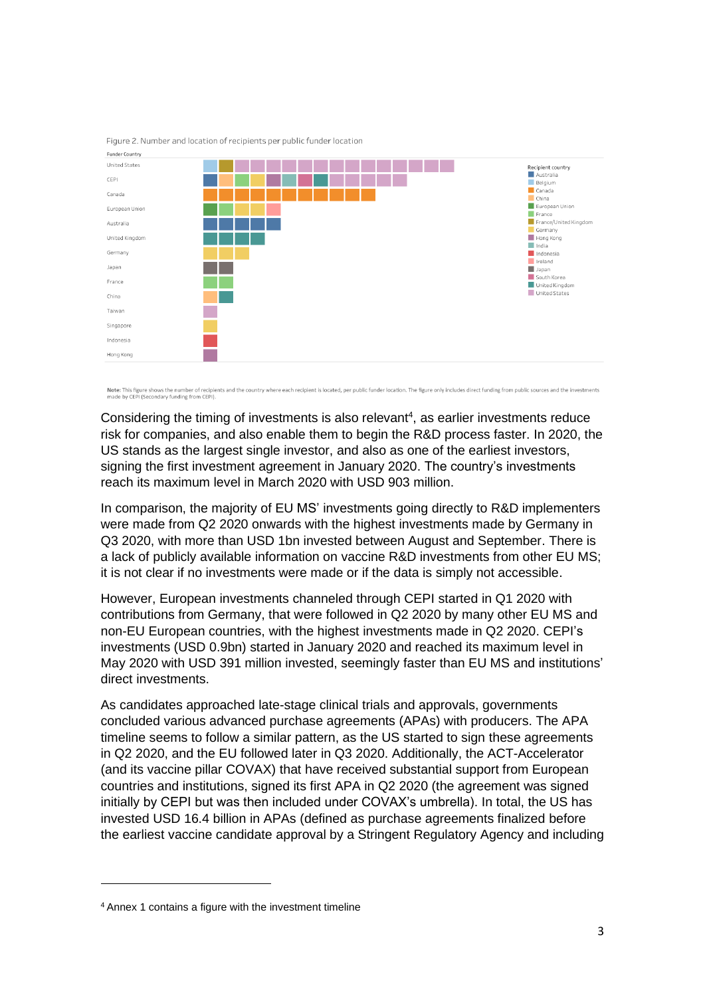

Figure 2. Number and location of recipients per public funder location

Note: This figure shows the number of recipients and the country where each recipient is located, per public funder location. The figure only includes direct funding from public sources and the investments made by CEPI (Secondary funding from CEPI)

Considering the timing of investments is also relevant $4$ , as earlier investments reduce risk for companies, and also enable them to begin the R&D process faster. In 2020, the US stands as the largest single investor, and also as one of the earliest investors, signing the first investment agreement in January 2020. The country's investments reach its maximum level in March 2020 with USD 903 million.

In comparison, the majority of EU MS' investments going directly to R&D implementers were made from Q2 2020 onwards with the highest investments made by Germany in Q3 2020, with more than USD 1bn invested between August and September. There is a lack of publicly available information on vaccine R&D investments from other EU MS; it is not clear if no investments were made or if the data is simply not accessible.

However, European investments channeled through CEPI started in Q1 2020 with contributions from Germany, that were followed in Q2 2020 by many other EU MS and non-EU European countries, with the highest investments made in Q2 2020. CEPI's investments (USD 0.9bn) started in January 2020 and reached its maximum level in May 2020 with USD 391 million invested, seemingly faster than EU MS and institutions' direct investments.

As candidates approached late-stage clinical trials and approvals, governments concluded various advanced purchase agreements (APAs) with producers. The APA timeline seems to follow a similar pattern, as the US started to sign these agreements in Q2 2020, and the EU followed later in Q3 2020. Additionally, the ACT-Accelerator (and its vaccine pillar COVAX) that have received substantial support from European countries and institutions, signed its first APA in Q2 2020 (the agreement was signed initially by CEPI but was then included under COVAX's umbrella). In total, the US has invested USD 16.4 billion in APAs (defined as purchase agreements finalized before the earliest vaccine candidate approval by a Stringent Regulatory Agency and including

<sup>4</sup> Annex 1 contains a figure with the investment timeline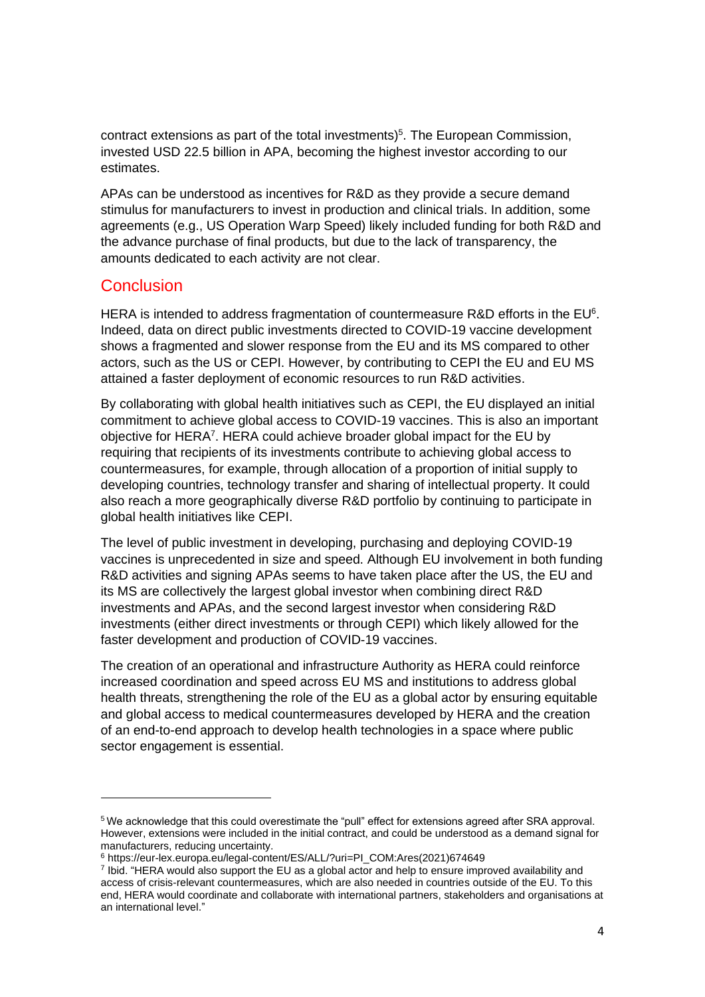contract extensions as part of the total investments) 5 . The European Commission, invested USD 22.5 billion in APA, becoming the highest investor according to our estimates.

APAs can be understood as incentives for R&D as they provide a secure demand stimulus for manufacturers to invest in production and clinical trials. In addition, some agreements (e.g., US Operation Warp Speed) likely included funding for both R&D and the advance purchase of final products, but due to the lack of transparency, the amounts dedicated to each activity are not clear.

#### **Conclusion**

HERA is intended to address fragmentation of countermeasure R&D efforts in the  $EU<sup>6</sup>$ . Indeed, data on direct public investments directed to COVID-19 vaccine development shows a fragmented and slower response from the EU and its MS compared to other actors, such as the US or CEPI. However, by contributing to CEPI the EU and EU MS attained a faster deployment of economic resources to run R&D activities.

By collaborating with global health initiatives such as CEPI, the EU displayed an initial commitment to achieve global access to COVID-19 vaccines. This is also an important objective for HERA<sup>7</sup>. HERA could achieve broader global impact for the EU by requiring that recipients of its investments contribute to achieving global access to countermeasures, for example, through allocation of a proportion of initial supply to developing countries, technology transfer and sharing of intellectual property. It could also reach a more geographically diverse R&D portfolio by continuing to participate in global health initiatives like CEPI.

The level of public investment in developing, purchasing and deploying COVID-19 vaccines is unprecedented in size and speed. Although EU involvement in both funding R&D activities and signing APAs seems to have taken place after the US, the EU and its MS are collectively the largest global investor when combining direct R&D investments and APAs, and the second largest investor when considering R&D investments (either direct investments or through CEPI) which likely allowed for the faster development and production of COVID-19 vaccines.

The creation of an operational and infrastructure Authority as HERA could reinforce increased coordination and speed across EU MS and institutions to address global health threats, strengthening the role of the EU as a global actor by ensuring equitable and global access to medical countermeasures developed by HERA and the creation of an end-to-end approach to develop health technologies in a space where public sector engagement is essential.

<sup>5</sup> We acknowledge that this could overestimate the "pull" effect for extensions agreed after SRA approval. However, extensions were included in the initial contract, and could be understood as a demand signal for manufacturers, reducing uncertainty.

<sup>6</sup> https://eur-lex.europa.eu/legal-content/ES/ALL/?uri=PI\_COM:Ares(2021)674649

<sup>7</sup> Ibid. "HERA would also support the EU as a global actor and help to ensure improved availability and access of crisis-relevant countermeasures, which are also needed in countries outside of the EU. To this end, HERA would coordinate and collaborate with international partners, stakeholders and organisations at an international level."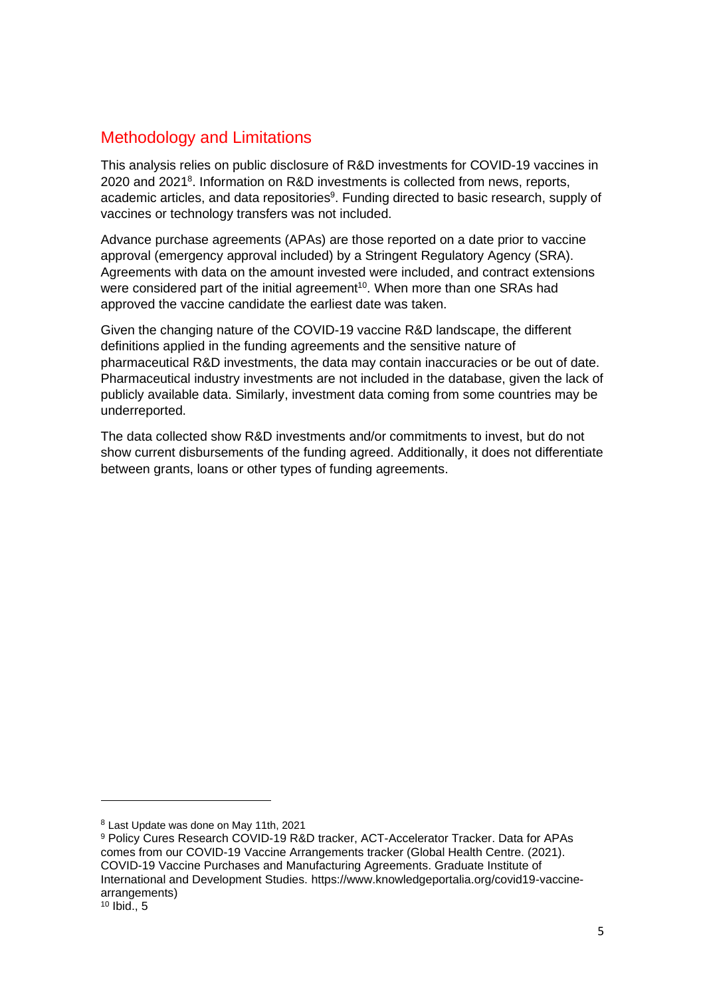## Methodology and Limitations

This analysis relies on public disclosure of R&D investments for COVID-19 vaccines in 2020 and 2021<sup>8</sup>. Information on R&D investments is collected from news, reports, academic articles, and data repositories<sup>9</sup>. Funding directed to basic research, supply of vaccines or technology transfers was not included.

Advance purchase agreements (APAs) are those reported on a date prior to vaccine approval (emergency approval included) by a Stringent Regulatory Agency (SRA). Agreements with data on the amount invested were included, and contract extensions were considered part of the initial agreement<sup>10</sup>. When more than one SRAs had approved the vaccine candidate the earliest date was taken.

Given the changing nature of the COVID-19 vaccine R&D landscape, the different definitions applied in the funding agreements and the sensitive nature of pharmaceutical R&D investments, the data may contain inaccuracies or be out of date. Pharmaceutical industry investments are not included in the database, given the lack of publicly available data. Similarly, investment data coming from some countries may be underreported.

The data collected show R&D investments and/or commitments to invest, but do not show current disbursements of the funding agreed. Additionally, it does not differentiate between grants, loans or other types of funding agreements.

<sup>8</sup> Last Update was done on May 11th, 2021

<sup>9</sup> Policy Cures Research COVID-19 R&D tracker, ACT-Accelerator Tracker. Data for APAs comes from our COVID-19 Vaccine Arrangements tracker (Global Health Centre. (2021). COVID-19 Vaccine Purchases and Manufacturing Agreements. Graduate Institute of International and Development Studies. https://www.knowledgeportalia.org/covid19-vaccinearrangements)